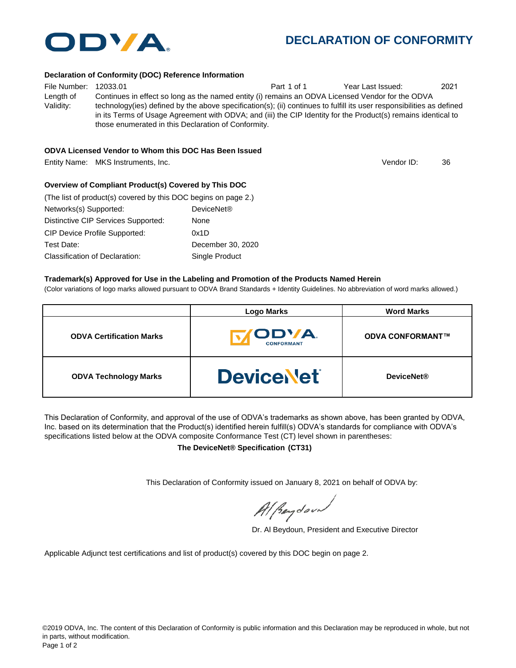

## **DECLARATION OF CONFORMITY**

#### **Declaration of Conformity (DOC) Reference Information**

File Number: 12033.01 Part 1 of 1 Year Last Issued: 2021 Length of Validity: Continues in effect so long as the named entity (i) remains an ODVA Licensed Vendor for the ODVA technology(ies) defined by the above specification(s); (ii) continues to fulfill its user responsibilities as defined in its Terms of Usage Agreement with ODVA; and (iii) the CIP Identity for the Product(s) remains identical to those enumerated in this Declaration of Conformity.

#### **ODVA Licensed Vendor to Whom this DOC Has Been Issued**

Entity Name: MKS Instruments, Inc. 36 and the state of the state of the state of the State of the State of the State of the State of the State of the State of the State of the State of the State of the State of the State o

Vendor ID:

#### **Overview of Compliant Product(s) Covered by This DOC**

| (The list of product(s) covered by this DOC begins on page 2.) |                        |
|----------------------------------------------------------------|------------------------|
| Networks(s) Supported:                                         | DeviceNet <sup>®</sup> |
| Distinctive CIP Services Supported:                            | None                   |
| <b>CIP Device Profile Supported:</b>                           | 0x1D                   |
| Test Date:                                                     | December 30, 2020      |
| Classification of Declaration:                                 | Single Product         |

#### **Trademark(s) Approved for Use in the Labeling and Promotion of the Products Named Herein**

(Color variations of logo marks allowed pursuant to ODVA Brand Standards + Identity Guidelines. No abbreviation of word marks allowed.)

|                                 | <b>Logo Marks</b>          | <b>Word Marks</b>       |  |
|---------------------------------|----------------------------|-------------------------|--|
| <b>ODVA Certification Marks</b> | ODVA.<br><b>CONFORMANT</b> | <b>ODVA CONFORMANT™</b> |  |
| <b>ODVA Technology Marks</b>    | <b>DeviceNet</b>           | <b>DeviceNet®</b>       |  |

This Declaration of Conformity, and approval of the use of ODVA's trademarks as shown above, has been granted by ODVA, Inc. based on its determination that the Product(s) identified herein fulfill(s) ODVA's standards for compliance with ODVA's specifications listed below at the ODVA composite Conformance Test (CT) level shown in parentheses:

**The DeviceNet® Specification (CT31)**

This Declaration of Conformity issued on January 8, 2021 on behalf of ODVA by:

Al peydound

Dr. Al Beydoun, President and Executive Director

Applicable Adjunct test certifications and list of product(s) covered by this DOC begin on page 2.